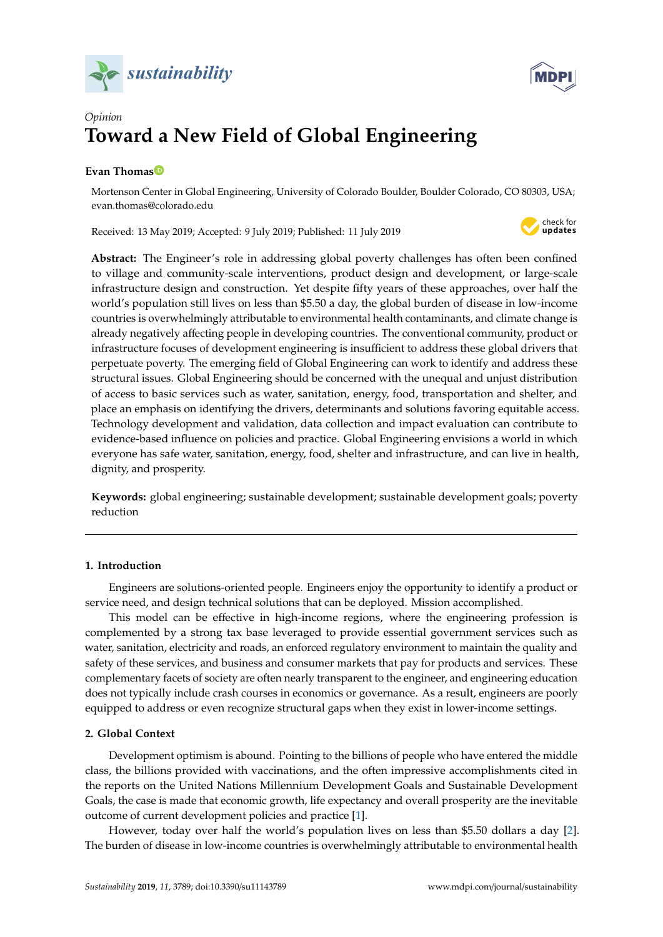



# *Opinion* **Toward a New Field of Global Engineering**

# **Evan Thoma[s](https://orcid.org/0000-0003-3095-8407)**

Mortenson Center in Global Engineering, University of Colorado Boulder, Boulder Colorado, CO 80303, USA; evan.thomas@colorado.edu

Received: 13 May 2019; Accepted: 9 July 2019; Published: 11 July 2019



**Abstract:** The Engineer's role in addressing global poverty challenges has often been confined to village and community-scale interventions, product design and development, or large-scale infrastructure design and construction. Yet despite fifty years of these approaches, over half the world's population still lives on less than \$5.50 a day, the global burden of disease in low-income countries is overwhelmingly attributable to environmental health contaminants, and climate change is already negatively affecting people in developing countries. The conventional community, product or infrastructure focuses of development engineering is insufficient to address these global drivers that perpetuate poverty. The emerging field of Global Engineering can work to identify and address these structural issues. Global Engineering should be concerned with the unequal and unjust distribution of access to basic services such as water, sanitation, energy, food, transportation and shelter, and place an emphasis on identifying the drivers, determinants and solutions favoring equitable access. Technology development and validation, data collection and impact evaluation can contribute to evidence-based influence on policies and practice. Global Engineering envisions a world in which everyone has safe water, sanitation, energy, food, shelter and infrastructure, and can live in health, dignity, and prosperity.

**Keywords:** global engineering; sustainable development; sustainable development goals; poverty reduction

# **1. Introduction**

Engineers are solutions-oriented people. Engineers enjoy the opportunity to identify a product or service need, and design technical solutions that can be deployed. Mission accomplished.

This model can be effective in high-income regions, where the engineering profession is complemented by a strong tax base leveraged to provide essential government services such as water, sanitation, electricity and roads, an enforced regulatory environment to maintain the quality and safety of these services, and business and consumer markets that pay for products and services. These complementary facets of society are often nearly transparent to the engineer, and engineering education does not typically include crash courses in economics or governance. As a result, engineers are poorly equipped to address or even recognize structural gaps when they exist in lower-income settings.

# **2. Global Context**

Development optimism is abound. Pointing to the billions of people who have entered the middle class, the billions provided with vaccinations, and the often impressive accomplishments cited in the reports on the United Nations Millennium Development Goals and Sustainable Development Goals, the case is made that economic growth, life expectancy and overall prosperity are the inevitable outcome of current development policies and practice [\[1\]](#page-8-0).

However, today over half the world's population lives on less than \$5.50 dollars a day [\[2\]](#page-8-1). The burden of disease in low-income countries is overwhelmingly attributable to environmental health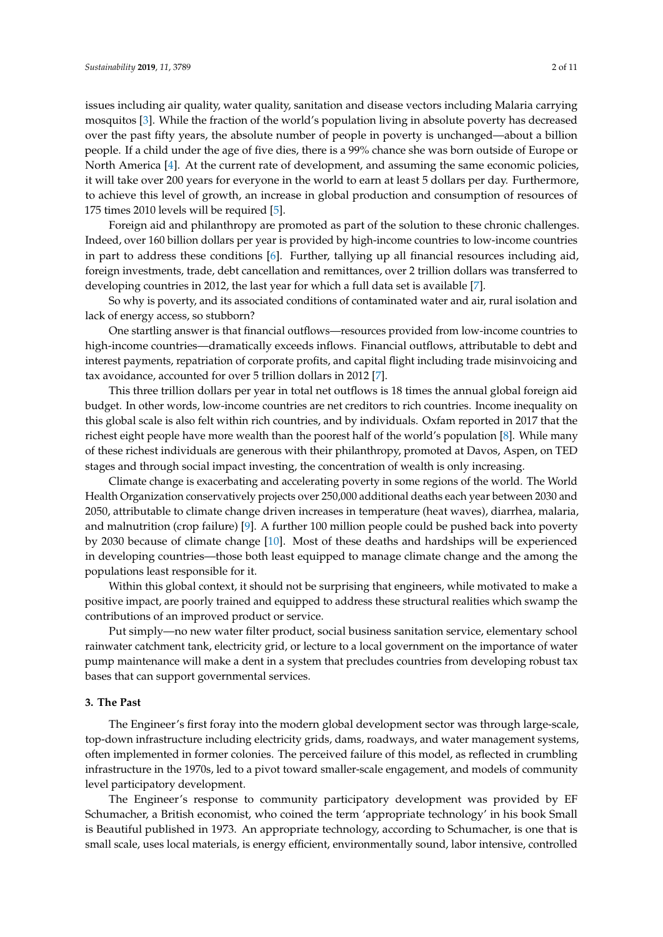issues including air quality, water quality, sanitation and disease vectors including Malaria carrying mosquitos [\[3\]](#page-8-2). While the fraction of the world's population living in absolute poverty has decreased over the past fifty years, the absolute number of people in poverty is unchanged—about a billion people. If a child under the age of five dies, there is a 99% chance she was born outside of Europe or North America [\[4\]](#page-8-3). At the current rate of development, and assuming the same economic policies, it will take over 200 years for everyone in the world to earn at least 5 dollars per day. Furthermore, to achieve this level of growth, an increase in global production and consumption of resources of

175 times 2010 levels will be required [\[5\]](#page-8-4).

Foreign aid and philanthropy are promoted as part of the solution to these chronic challenges. Indeed, over 160 billion dollars per year is provided by high-income countries to low-income countries in part to address these conditions [\[6\]](#page-8-5). Further, tallying up all financial resources including aid, foreign investments, trade, debt cancellation and remittances, over 2 trillion dollars was transferred to developing countries in 2012, the last year for which a full data set is available [\[7\]](#page-8-6).

So why is poverty, and its associated conditions of contaminated water and air, rural isolation and lack of energy access, so stubborn?

One startling answer is that financial outflows—resources provided from low-income countries to high-income countries—dramatically exceeds inflows. Financial outflows, attributable to debt and interest payments, repatriation of corporate profits, and capital flight including trade misinvoicing and tax avoidance, accounted for over 5 trillion dollars in 2012 [\[7\]](#page-8-6).

This three trillion dollars per year in total net outflows is 18 times the annual global foreign aid budget. In other words, low-income countries are net creditors to rich countries. Income inequality on this global scale is also felt within rich countries, and by individuals. Oxfam reported in 2017 that the richest eight people have more wealth than the poorest half of the world's population [\[8\]](#page-8-7). While many of these richest individuals are generous with their philanthropy, promoted at Davos, Aspen, on TED stages and through social impact investing, the concentration of wealth is only increasing.

Climate change is exacerbating and accelerating poverty in some regions of the world. The World Health Organization conservatively projects over 250,000 additional deaths each year between 2030 and 2050, attributable to climate change driven increases in temperature (heat waves), diarrhea, malaria, and malnutrition (crop failure) [\[9\]](#page-8-8). A further 100 million people could be pushed back into poverty by 2030 because of climate change [\[10\]](#page-8-9). Most of these deaths and hardships will be experienced in developing countries—those both least equipped to manage climate change and the among the populations least responsible for it.

Within this global context, it should not be surprising that engineers, while motivated to make a positive impact, are poorly trained and equipped to address these structural realities which swamp the contributions of an improved product or service.

Put simply—no new water filter product, social business sanitation service, elementary school rainwater catchment tank, electricity grid, or lecture to a local government on the importance of water pump maintenance will make a dent in a system that precludes countries from developing robust tax bases that can support governmental services.

## **3. The Past**

The Engineer's first foray into the modern global development sector was through large-scale, top-down infrastructure including electricity grids, dams, roadways, and water management systems, often implemented in former colonies. The perceived failure of this model, as reflected in crumbling infrastructure in the 1970s, led to a pivot toward smaller-scale engagement, and models of community level participatory development.

The Engineer's response to community participatory development was provided by EF Schumacher, a British economist, who coined the term 'appropriate technology' in his book Small is Beautiful published in 1973. An appropriate technology, according to Schumacher, is one that is small scale, uses local materials, is energy efficient, environmentally sound, labor intensive, controlled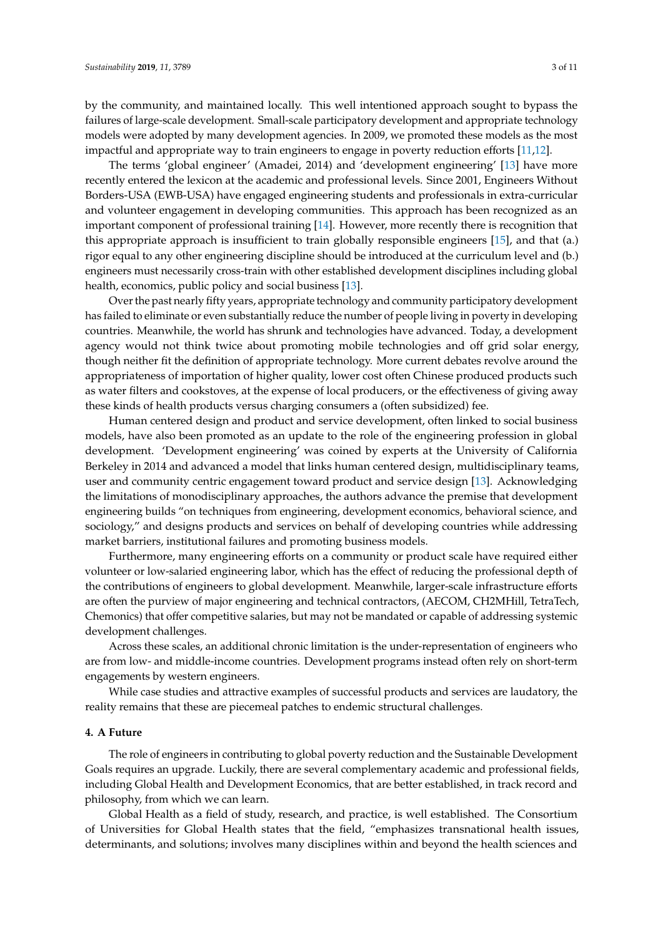by the community, and maintained locally. This well intentioned approach sought to bypass the failures of large-scale development. Small-scale participatory development and appropriate technology models were adopted by many development agencies. In 2009, we promoted these models as the most impactful and appropriate way to train engineers to engage in poverty reduction efforts [\[11](#page-8-10)[,12\]](#page-8-11).

The terms 'global engineer' (Amadei, 2014) and 'development engineering' [\[13\]](#page-8-12) have more recently entered the lexicon at the academic and professional levels. Since 2001, Engineers Without Borders-USA (EWB-USA) have engaged engineering students and professionals in extra-curricular and volunteer engagement in developing communities. This approach has been recognized as an important component of professional training [\[14\]](#page-8-13). However, more recently there is recognition that this appropriate approach is insufficient to train globally responsible engineers [\[15\]](#page-8-14), and that (a.) rigor equal to any other engineering discipline should be introduced at the curriculum level and (b.) engineers must necessarily cross-train with other established development disciplines including global health, economics, public policy and social business [\[13\]](#page-8-12).

Over the past nearly fifty years, appropriate technology and community participatory development has failed to eliminate or even substantially reduce the number of people living in poverty in developing countries. Meanwhile, the world has shrunk and technologies have advanced. Today, a development agency would not think twice about promoting mobile technologies and off grid solar energy, though neither fit the definition of appropriate technology. More current debates revolve around the appropriateness of importation of higher quality, lower cost often Chinese produced products such as water filters and cookstoves, at the expense of local producers, or the effectiveness of giving away these kinds of health products versus charging consumers a (often subsidized) fee.

Human centered design and product and service development, often linked to social business models, have also been promoted as an update to the role of the engineering profession in global development. 'Development engineering' was coined by experts at the University of California Berkeley in 2014 and advanced a model that links human centered design, multidisciplinary teams, user and community centric engagement toward product and service design [\[13\]](#page-8-12). Acknowledging the limitations of monodisciplinary approaches, the authors advance the premise that development engineering builds "on techniques from engineering, development economics, behavioral science, and sociology," and designs products and services on behalf of developing countries while addressing market barriers, institutional failures and promoting business models.

Furthermore, many engineering efforts on a community or product scale have required either volunteer or low-salaried engineering labor, which has the effect of reducing the professional depth of the contributions of engineers to global development. Meanwhile, larger-scale infrastructure efforts are often the purview of major engineering and technical contractors, (AECOM, CH2MHill, TetraTech, Chemonics) that offer competitive salaries, but may not be mandated or capable of addressing systemic development challenges.

Across these scales, an additional chronic limitation is the under-representation of engineers who are from low- and middle-income countries. Development programs instead often rely on short-term engagements by western engineers.

While case studies and attractive examples of successful products and services are laudatory, the reality remains that these are piecemeal patches to endemic structural challenges.

# **4. A Future**

The role of engineers in contributing to global poverty reduction and the Sustainable Development Goals requires an upgrade. Luckily, there are several complementary academic and professional fields, including Global Health and Development Economics, that are better established, in track record and philosophy, from which we can learn.

Global Health as a field of study, research, and practice, is well established. The Consortium of Universities for Global Health states that the field, "emphasizes transnational health issues, determinants, and solutions; involves many disciplines within and beyond the health sciences and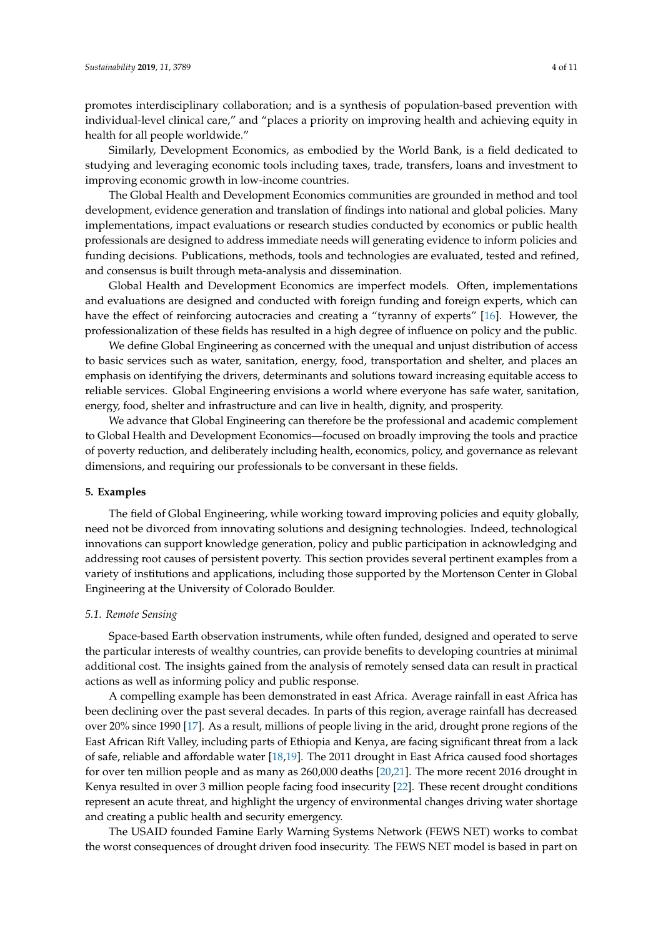promotes interdisciplinary collaboration; and is a synthesis of population-based prevention with individual-level clinical care," and "places a priority on improving health and achieving equity in health for all people worldwide."

Similarly, Development Economics, as embodied by the World Bank, is a field dedicated to studying and leveraging economic tools including taxes, trade, transfers, loans and investment to improving economic growth in low-income countries.

The Global Health and Development Economics communities are grounded in method and tool development, evidence generation and translation of findings into national and global policies. Many implementations, impact evaluations or research studies conducted by economics or public health professionals are designed to address immediate needs will generating evidence to inform policies and funding decisions. Publications, methods, tools and technologies are evaluated, tested and refined, and consensus is built through meta-analysis and dissemination.

Global Health and Development Economics are imperfect models. Often, implementations and evaluations are designed and conducted with foreign funding and foreign experts, which can have the effect of reinforcing autocracies and creating a "tyranny of experts" [\[16\]](#page-8-15). However, the professionalization of these fields has resulted in a high degree of influence on policy and the public.

We define Global Engineering as concerned with the unequal and unjust distribution of access to basic services such as water, sanitation, energy, food, transportation and shelter, and places an emphasis on identifying the drivers, determinants and solutions toward increasing equitable access to reliable services. Global Engineering envisions a world where everyone has safe water, sanitation, energy, food, shelter and infrastructure and can live in health, dignity, and prosperity.

We advance that Global Engineering can therefore be the professional and academic complement to Global Health and Development Economics—focused on broadly improving the tools and practice of poverty reduction, and deliberately including health, economics, policy, and governance as relevant dimensions, and requiring our professionals to be conversant in these fields.

#### **5. Examples**

The field of Global Engineering, while working toward improving policies and equity globally, need not be divorced from innovating solutions and designing technologies. Indeed, technological innovations can support knowledge generation, policy and public participation in acknowledging and addressing root causes of persistent poverty. This section provides several pertinent examples from a variety of institutions and applications, including those supported by the Mortenson Center in Global Engineering at the University of Colorado Boulder.

## *5.1. Remote Sensing*

Space-based Earth observation instruments, while often funded, designed and operated to serve the particular interests of wealthy countries, can provide benefits to developing countries at minimal additional cost. The insights gained from the analysis of remotely sensed data can result in practical actions as well as informing policy and public response.

A compelling example has been demonstrated in east Africa. Average rainfall in east Africa has been declining over the past several decades. In parts of this region, average rainfall has decreased over 20% since 1990 [\[17\]](#page-8-16). As a result, millions of people living in the arid, drought prone regions of the East African Rift Valley, including parts of Ethiopia and Kenya, are facing significant threat from a lack of safe, reliable and affordable water [\[18](#page-8-17)[,19\]](#page-8-18). The 2011 drought in East Africa caused food shortages for over ten million people and as many as 260,000 deaths [\[20,](#page-8-19)[21\]](#page-8-20). The more recent 2016 drought in Kenya resulted in over 3 million people facing food insecurity [\[22\]](#page-9-0). These recent drought conditions represent an acute threat, and highlight the urgency of environmental changes driving water shortage and creating a public health and security emergency.

The USAID founded Famine Early Warning Systems Network (FEWS NET) works to combat the worst consequences of drought driven food insecurity. The FEWS NET model is based in part on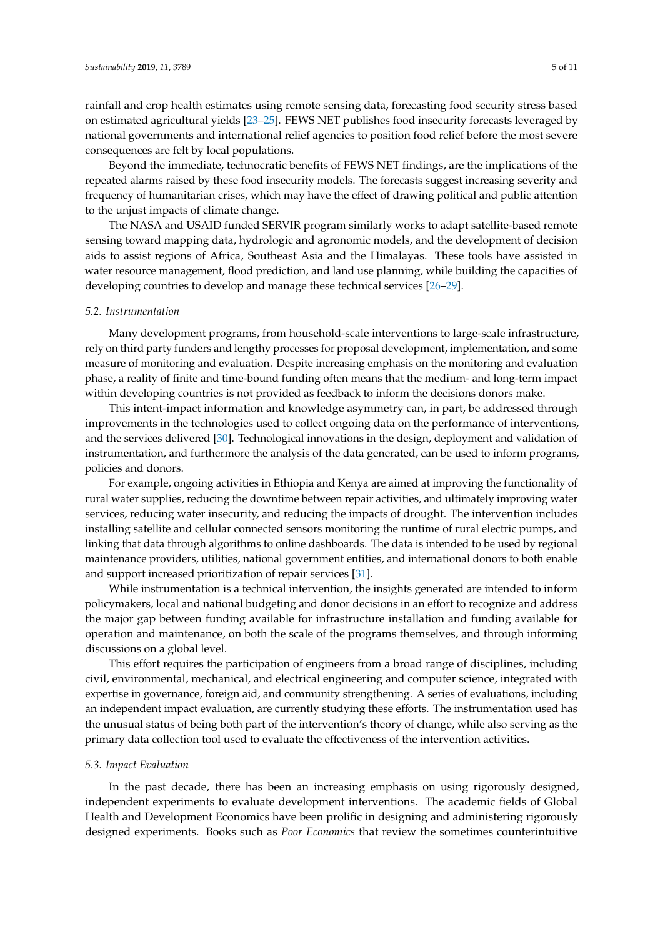rainfall and crop health estimates using remote sensing data, forecasting food security stress based on estimated agricultural yields [\[23–](#page-9-1)[25\]](#page-9-2). FEWS NET publishes food insecurity forecasts leveraged by national governments and international relief agencies to position food relief before the most severe consequences are felt by local populations.

Beyond the immediate, technocratic benefits of FEWS NET findings, are the implications of the repeated alarms raised by these food insecurity models. The forecasts suggest increasing severity and frequency of humanitarian crises, which may have the effect of drawing political and public attention to the unjust impacts of climate change.

The NASA and USAID funded SERVIR program similarly works to adapt satellite-based remote sensing toward mapping data, hydrologic and agronomic models, and the development of decision aids to assist regions of Africa, Southeast Asia and the Himalayas. These tools have assisted in water resource management, flood prediction, and land use planning, while building the capacities of developing countries to develop and manage these technical services [\[26–](#page-9-3)[29\]](#page-9-4).

#### *5.2. Instrumentation*

Many development programs, from household-scale interventions to large-scale infrastructure, rely on third party funders and lengthy processes for proposal development, implementation, and some measure of monitoring and evaluation. Despite increasing emphasis on the monitoring and evaluation phase, a reality of finite and time-bound funding often means that the medium- and long-term impact within developing countries is not provided as feedback to inform the decisions donors make.

This intent-impact information and knowledge asymmetry can, in part, be addressed through improvements in the technologies used to collect ongoing data on the performance of interventions, and the services delivered [\[30\]](#page-9-5). Technological innovations in the design, deployment and validation of instrumentation, and furthermore the analysis of the data generated, can be used to inform programs, policies and donors.

For example, ongoing activities in Ethiopia and Kenya are aimed at improving the functionality of rural water supplies, reducing the downtime between repair activities, and ultimately improving water services, reducing water insecurity, and reducing the impacts of drought. The intervention includes installing satellite and cellular connected sensors monitoring the runtime of rural electric pumps, and linking that data through algorithms to online dashboards. The data is intended to be used by regional maintenance providers, utilities, national government entities, and international donors to both enable and support increased prioritization of repair services [\[31\]](#page-9-6).

While instrumentation is a technical intervention, the insights generated are intended to inform policymakers, local and national budgeting and donor decisions in an effort to recognize and address the major gap between funding available for infrastructure installation and funding available for operation and maintenance, on both the scale of the programs themselves, and through informing discussions on a global level.

This effort requires the participation of engineers from a broad range of disciplines, including civil, environmental, mechanical, and electrical engineering and computer science, integrated with expertise in governance, foreign aid, and community strengthening. A series of evaluations, including an independent impact evaluation, are currently studying these efforts. The instrumentation used has the unusual status of being both part of the intervention's theory of change, while also serving as the primary data collection tool used to evaluate the effectiveness of the intervention activities.

#### *5.3. Impact Evaluation*

In the past decade, there has been an increasing emphasis on using rigorously designed, independent experiments to evaluate development interventions. The academic fields of Global Health and Development Economics have been prolific in designing and administering rigorously designed experiments. Books such as *Poor Economics* that review the sometimes counterintuitive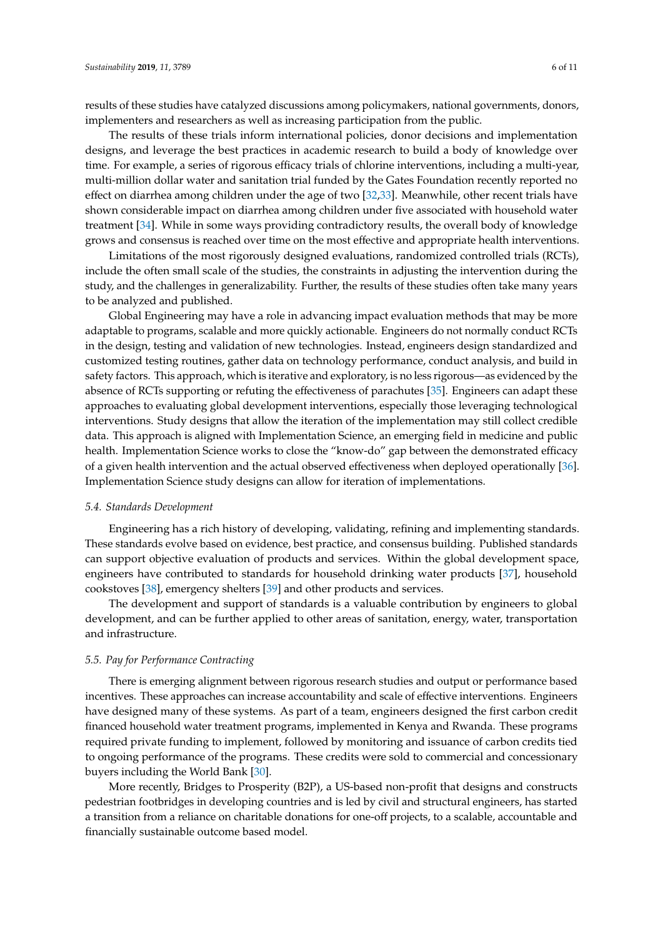results of these studies have catalyzed discussions among policymakers, national governments, donors, implementers and researchers as well as increasing participation from the public.

The results of these trials inform international policies, donor decisions and implementation designs, and leverage the best practices in academic research to build a body of knowledge over time. For example, a series of rigorous efficacy trials of chlorine interventions, including a multi-year, multi-million dollar water and sanitation trial funded by the Gates Foundation recently reported no effect on diarrhea among children under the age of two [\[32](#page-9-7)[,33\]](#page-9-8). Meanwhile, other recent trials have shown considerable impact on diarrhea among children under five associated with household water treatment [\[34\]](#page-9-9). While in some ways providing contradictory results, the overall body of knowledge grows and consensus is reached over time on the most effective and appropriate health interventions.

Limitations of the most rigorously designed evaluations, randomized controlled trials (RCTs), include the often small scale of the studies, the constraints in adjusting the intervention during the study, and the challenges in generalizability. Further, the results of these studies often take many years to be analyzed and published.

Global Engineering may have a role in advancing impact evaluation methods that may be more adaptable to programs, scalable and more quickly actionable. Engineers do not normally conduct RCTs in the design, testing and validation of new technologies. Instead, engineers design standardized and customized testing routines, gather data on technology performance, conduct analysis, and build in safety factors. This approach, which is iterative and exploratory, is no less rigorous—as evidenced by the absence of RCTs supporting or refuting the effectiveness of parachutes [\[35\]](#page-9-10). Engineers can adapt these approaches to evaluating global development interventions, especially those leveraging technological interventions. Study designs that allow the iteration of the implementation may still collect credible data. This approach is aligned with Implementation Science, an emerging field in medicine and public health. Implementation Science works to close the "know-do" gap between the demonstrated efficacy of a given health intervention and the actual observed effectiveness when deployed operationally [\[36\]](#page-9-11). Implementation Science study designs can allow for iteration of implementations.

## *5.4. Standards Development*

Engineering has a rich history of developing, validating, refining and implementing standards. These standards evolve based on evidence, best practice, and consensus building. Published standards can support objective evaluation of products and services. Within the global development space, engineers have contributed to standards for household drinking water products [\[37\]](#page-9-12), household cookstoves [\[38\]](#page-9-13), emergency shelters [\[39\]](#page-9-14) and other products and services.

The development and support of standards is a valuable contribution by engineers to global development, and can be further applied to other areas of sanitation, energy, water, transportation and infrastructure.

#### *5.5. Pay for Performance Contracting*

There is emerging alignment between rigorous research studies and output or performance based incentives. These approaches can increase accountability and scale of effective interventions. Engineers have designed many of these systems. As part of a team, engineers designed the first carbon credit financed household water treatment programs, implemented in Kenya and Rwanda. These programs required private funding to implement, followed by monitoring and issuance of carbon credits tied to ongoing performance of the programs. These credits were sold to commercial and concessionary buyers including the World Bank [\[30\]](#page-9-5).

More recently, Bridges to Prosperity (B2P), a US-based non-profit that designs and constructs pedestrian footbridges in developing countries and is led by civil and structural engineers, has started a transition from a reliance on charitable donations for one-off projects, to a scalable, accountable and financially sustainable outcome based model.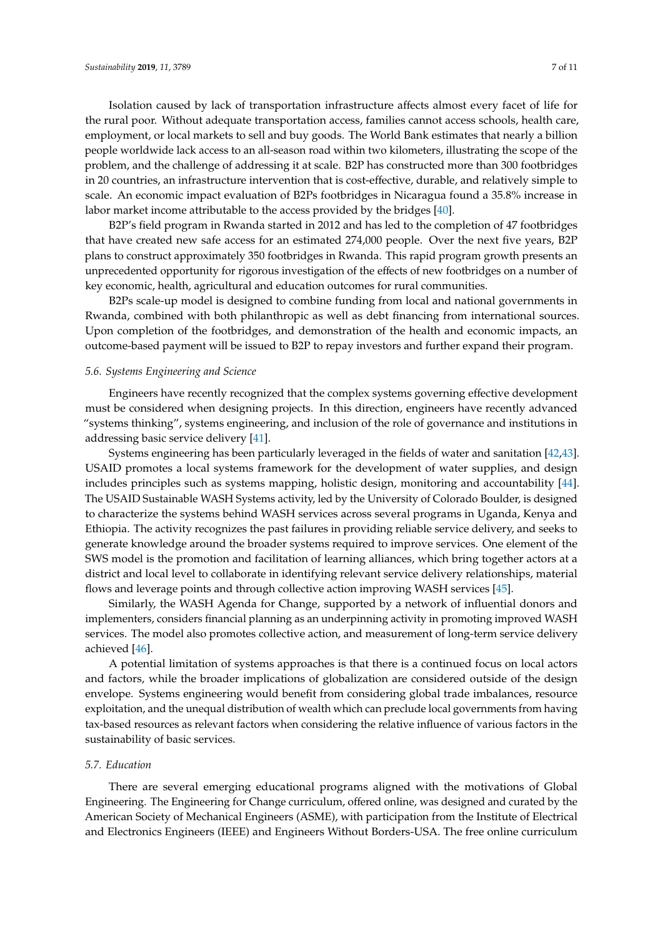Isolation caused by lack of transportation infrastructure affects almost every facet of life for the rural poor. Without adequate transportation access, families cannot access schools, health care, employment, or local markets to sell and buy goods. The World Bank estimates that nearly a billion people worldwide lack access to an all-season road within two kilometers, illustrating the scope of the problem, and the challenge of addressing it at scale. B2P has constructed more than 300 footbridges in 20 countries, an infrastructure intervention that is cost-effective, durable, and relatively simple to scale. An economic impact evaluation of B2Ps footbridges in Nicaragua found a 35.8% increase in labor market income attributable to the access provided by the bridges [\[40\]](#page-9-15).

B2P's field program in Rwanda started in 2012 and has led to the completion of 47 footbridges that have created new safe access for an estimated 274,000 people. Over the next five years, B2P plans to construct approximately 350 footbridges in Rwanda. This rapid program growth presents an unprecedented opportunity for rigorous investigation of the effects of new footbridges on a number of key economic, health, agricultural and education outcomes for rural communities.

B2Ps scale-up model is designed to combine funding from local and national governments in Rwanda, combined with both philanthropic as well as debt financing from international sources. Upon completion of the footbridges, and demonstration of the health and economic impacts, an outcome-based payment will be issued to B2P to repay investors and further expand their program.

## *5.6. Systems Engineering and Science*

Engineers have recently recognized that the complex systems governing effective development must be considered when designing projects. In this direction, engineers have recently advanced "systems thinking", systems engineering, and inclusion of the role of governance and institutions in addressing basic service delivery [\[41\]](#page-9-16).

Systems engineering has been particularly leveraged in the fields of water and sanitation [\[42](#page-10-0)[,43\]](#page-10-1). USAID promotes a local systems framework for the development of water supplies, and design includes principles such as systems mapping, holistic design, monitoring and accountability [\[44\]](#page-10-2). The USAID Sustainable WASH Systems activity, led by the University of Colorado Boulder, is designed to characterize the systems behind WASH services across several programs in Uganda, Kenya and Ethiopia. The activity recognizes the past failures in providing reliable service delivery, and seeks to generate knowledge around the broader systems required to improve services. One element of the SWS model is the promotion and facilitation of learning alliances, which bring together actors at a district and local level to collaborate in identifying relevant service delivery relationships, material flows and leverage points and through collective action improving WASH services [\[45\]](#page-10-3).

Similarly, the WASH Agenda for Change, supported by a network of influential donors and implementers, considers financial planning as an underpinning activity in promoting improved WASH services. The model also promotes collective action, and measurement of long-term service delivery achieved [\[46\]](#page-10-4).

A potential limitation of systems approaches is that there is a continued focus on local actors and factors, while the broader implications of globalization are considered outside of the design envelope. Systems engineering would benefit from considering global trade imbalances, resource exploitation, and the unequal distribution of wealth which can preclude local governments from having tax-based resources as relevant factors when considering the relative influence of various factors in the sustainability of basic services.

## *5.7. Education*

There are several emerging educational programs aligned with the motivations of Global Engineering. The Engineering for Change curriculum, offered online, was designed and curated by the American Society of Mechanical Engineers (ASME), with participation from the Institute of Electrical and Electronics Engineers (IEEE) and Engineers Without Borders-USA. The free online curriculum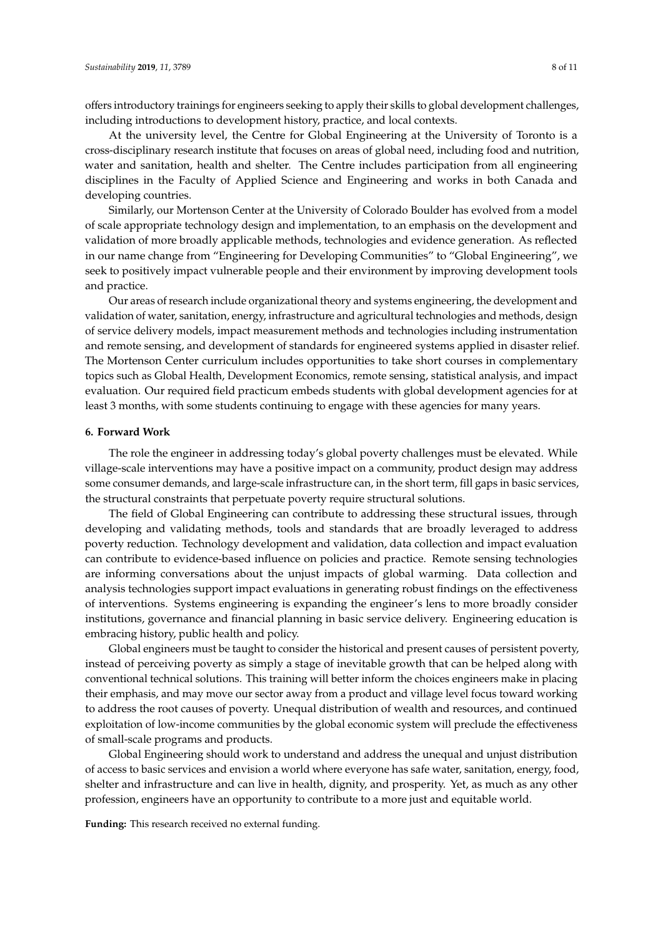offers introductory trainings for engineers seeking to apply their skills to global development challenges, including introductions to development history, practice, and local contexts.

At the university level, the Centre for Global Engineering at the University of Toronto is a cross-disciplinary research institute that focuses on areas of global need, including food and nutrition, water and sanitation, health and shelter. The Centre includes participation from all engineering disciplines in the Faculty of Applied Science and Engineering and works in both Canada and developing countries.

Similarly, our Mortenson Center at the University of Colorado Boulder has evolved from a model of scale appropriate technology design and implementation, to an emphasis on the development and validation of more broadly applicable methods, technologies and evidence generation. As reflected in our name change from "Engineering for Developing Communities" to "Global Engineering", we seek to positively impact vulnerable people and their environment by improving development tools and practice.

Our areas of research include organizational theory and systems engineering, the development and validation of water, sanitation, energy, infrastructure and agricultural technologies and methods, design of service delivery models, impact measurement methods and technologies including instrumentation and remote sensing, and development of standards for engineered systems applied in disaster relief. The Mortenson Center curriculum includes opportunities to take short courses in complementary topics such as Global Health, Development Economics, remote sensing, statistical analysis, and impact evaluation. Our required field practicum embeds students with global development agencies for at least 3 months, with some students continuing to engage with these agencies for many years.

## **6. Forward Work**

The role the engineer in addressing today's global poverty challenges must be elevated. While village-scale interventions may have a positive impact on a community, product design may address some consumer demands, and large-scale infrastructure can, in the short term, fill gaps in basic services, the structural constraints that perpetuate poverty require structural solutions.

The field of Global Engineering can contribute to addressing these structural issues, through developing and validating methods, tools and standards that are broadly leveraged to address poverty reduction. Technology development and validation, data collection and impact evaluation can contribute to evidence-based influence on policies and practice. Remote sensing technologies are informing conversations about the unjust impacts of global warming. Data collection and analysis technologies support impact evaluations in generating robust findings on the effectiveness of interventions. Systems engineering is expanding the engineer's lens to more broadly consider institutions, governance and financial planning in basic service delivery. Engineering education is embracing history, public health and policy.

Global engineers must be taught to consider the historical and present causes of persistent poverty, instead of perceiving poverty as simply a stage of inevitable growth that can be helped along with conventional technical solutions. This training will better inform the choices engineers make in placing their emphasis, and may move our sector away from a product and village level focus toward working to address the root causes of poverty. Unequal distribution of wealth and resources, and continued exploitation of low-income communities by the global economic system will preclude the effectiveness of small-scale programs and products.

Global Engineering should work to understand and address the unequal and unjust distribution of access to basic services and envision a world where everyone has safe water, sanitation, energy, food, shelter and infrastructure and can live in health, dignity, and prosperity. Yet, as much as any other profession, engineers have an opportunity to contribute to a more just and equitable world.

**Funding:** This research received no external funding.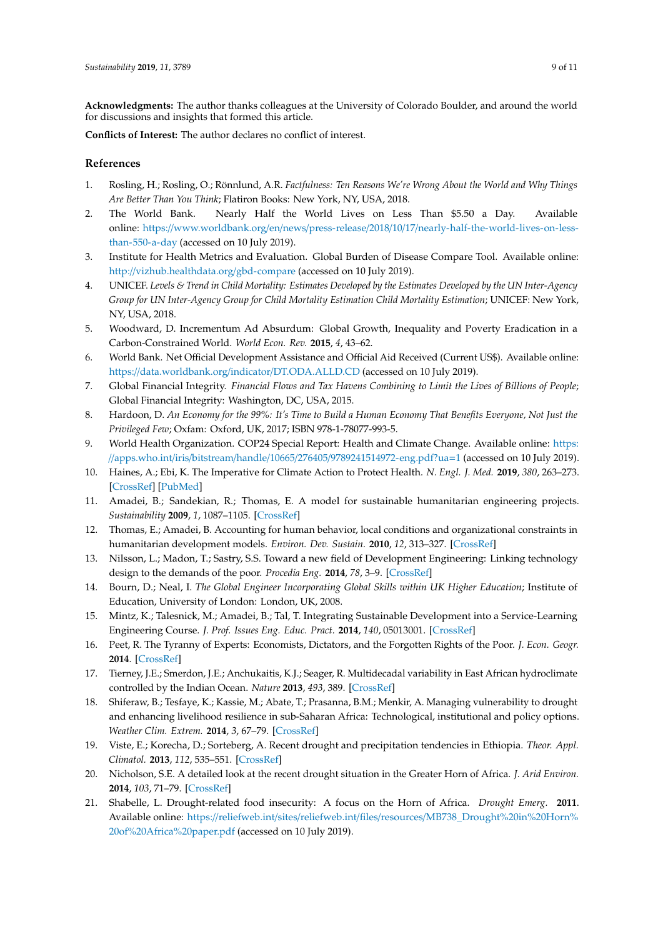**Acknowledgments:** The author thanks colleagues at the University of Colorado Boulder, and around the world for discussions and insights that formed this article.

**Conflicts of Interest:** The author declares no conflict of interest.

# **References**

- <span id="page-8-0"></span>1. Rosling, H.; Rosling, O.; Rönnlund, A.R. *Factfulness: Ten Reasons We're Wrong About the World and Why Things Are Better Than You Think*; Flatiron Books: New York, NY, USA, 2018.
- <span id="page-8-1"></span>2. The World Bank. Nearly Half the World Lives on Less Than \$5.50 a Day. Available online: https://www.worldbank.org/en/news/press-release/2018/10/17/[nearly-half-the-world-lives-on-less](https://www.worldbank.org/en/news/press-release/2018/10/17/nearly-half-the-world-lives-on-less-than-550-a-day)[than-550-a-day](https://www.worldbank.org/en/news/press-release/2018/10/17/nearly-half-the-world-lives-on-less-than-550-a-day) (accessed on 10 July 2019).
- <span id="page-8-2"></span>3. Institute for Health Metrics and Evaluation. Global Burden of Disease Compare Tool. Available online: http://[vizhub.healthdata.org](http://vizhub.healthdata.org/gbd-compare)/gbd-compare (accessed on 10 July 2019).
- <span id="page-8-3"></span>4. UNICEF. *Levels & Trend in Child Mortality: Estimates Developed by the Estimates Developed by the UN Inter-Agency Group for UN Inter-Agency Group for Child Mortality Estimation Child Mortality Estimation*; UNICEF: New York, NY, USA, 2018.
- <span id="page-8-4"></span>5. Woodward, D. Incrementum Ad Absurdum: Global Growth, Inequality and Poverty Eradication in a Carbon-Constrained World. *World Econ. Rev.* **2015**, *4*, 43–62.
- <span id="page-8-5"></span>6. World Bank. Net Official Development Assistance and Official Aid Received (Current US\$). Available online: https://[data.worldbank.org](https://data.worldbank.org/indicator/DT.ODA.ALLD.CD)/indicator/DT.ODA.ALLD.CD (accessed on 10 July 2019).
- <span id="page-8-6"></span>7. Global Financial Integrity. *Financial Flows and Tax Havens Combining to Limit the Lives of Billions of People*; Global Financial Integrity: Washington, DC, USA, 2015.
- <span id="page-8-7"></span>8. Hardoon, D. *An Economy for the 99%: It's Time to Build a Human Economy That Benefits Everyone, Not Just the Privileged Few*; Oxfam: Oxford, UK, 2017; ISBN 978-1-78077-993-5.
- <span id="page-8-8"></span>9. World Health Organization. COP24 Special Report: Health and Climate Change. Available online: [https:](https://apps.who.int/iris/bitstream/handle/10665/276405/9789241514972-eng.pdf?ua=1) //apps.who.int/iris/bitstream/handle/10665/276405/[9789241514972-eng.pdf?ua](https://apps.who.int/iris/bitstream/handle/10665/276405/9789241514972-eng.pdf?ua=1)=1 (accessed on 10 July 2019).
- <span id="page-8-9"></span>10. Haines, A.; Ebi, K. The Imperative for Climate Action to Protect Health. *N. Engl. J. Med.* **2019**, *380*, 263–273. [\[CrossRef\]](http://dx.doi.org/10.1056/NEJMra1807873) [\[PubMed\]](http://www.ncbi.nlm.nih.gov/pubmed/30650330)
- <span id="page-8-10"></span>11. Amadei, B.; Sandekian, R.; Thomas, E. A model for sustainable humanitarian engineering projects. *Sustainability* **2009**, *1*, 1087–1105. [\[CrossRef\]](http://dx.doi.org/10.3390/su1041087)
- <span id="page-8-11"></span>12. Thomas, E.; Amadei, B. Accounting for human behavior, local conditions and organizational constraints in humanitarian development models. *Environ. Dev. Sustain.* **2010**, *12*, 313–327. [\[CrossRef\]](http://dx.doi.org/10.1007/s10668-009-9196-1)
- <span id="page-8-12"></span>13. Nilsson, L.; Madon, T.; Sastry, S.S. Toward a new field of Development Engineering: Linking technology design to the demands of the poor. *Procedia Eng.* **2014**, *78*, 3–9. [\[CrossRef\]](http://dx.doi.org/10.1016/j.proeng.2014.07.032)
- <span id="page-8-13"></span>14. Bourn, D.; Neal, I. *The Global Engineer Incorporating Global Skills within UK Higher Education*; Institute of Education, University of London: London, UK, 2008.
- <span id="page-8-14"></span>15. Mintz, K.; Talesnick, M.; Amadei, B.; Tal, T. Integrating Sustainable Development into a Service-Learning Engineering Course. *J. Prof. Issues Eng. Educ. Pract.* **2014**, *140*, 05013001. [\[CrossRef\]](http://dx.doi.org/10.1061/(ASCE)EI.1943-5541.0000169)
- <span id="page-8-15"></span>16. Peet, R. The Tyranny of Experts: Economists, Dictators, and the Forgotten Rights of the Poor. *J. Econ. Geogr.* **2014**. [\[CrossRef\]](http://dx.doi.org/10.1093/jeg/lbu022)
- <span id="page-8-16"></span>17. Tierney, J.E.; Smerdon, J.E.; Anchukaitis, K.J.; Seager, R. Multidecadal variability in East African hydroclimate controlled by the Indian Ocean. *Nature* **2013**, *493*, 389. [\[CrossRef\]](http://dx.doi.org/10.1038/nature11785)
- <span id="page-8-17"></span>18. Shiferaw, B.; Tesfaye, K.; Kassie, M.; Abate, T.; Prasanna, B.M.; Menkir, A. Managing vulnerability to drought and enhancing livelihood resilience in sub-Saharan Africa: Technological, institutional and policy options. *Weather Clim. Extrem.* **2014**, *3*, 67–79. [\[CrossRef\]](http://dx.doi.org/10.1016/j.wace.2014.04.004)
- <span id="page-8-18"></span>19. Viste, E.; Korecha, D.; Sorteberg, A. Recent drought and precipitation tendencies in Ethiopia. *Theor. Appl. Climatol.* **2013**, *112*, 535–551. [\[CrossRef\]](http://dx.doi.org/10.1007/s00704-012-0746-3)
- <span id="page-8-19"></span>20. Nicholson, S.E. A detailed look at the recent drought situation in the Greater Horn of Africa. *J. Arid Environ.* **2014**, *103*, 71–79. [\[CrossRef\]](http://dx.doi.org/10.1016/j.jaridenv.2013.12.003)
- <span id="page-8-20"></span>21. Shabelle, L. Drought-related food insecurity: A focus on the Horn of Africa. *Drought Emerg.* **2011**. Available online: https://reliefweb.int/sites/reliefweb.int/files/resources/[MB738\\_Drought%20in%20Horn%](https://reliefweb.int/sites/reliefweb.int/files/resources/MB738_Drought%20in%20Horn%20of%20Africa%20paper.pdf) [20of%20Africa%20paper.pdf](https://reliefweb.int/sites/reliefweb.int/files/resources/MB738_Drought%20in%20Horn%20of%20Africa%20paper.pdf) (accessed on 10 July 2019).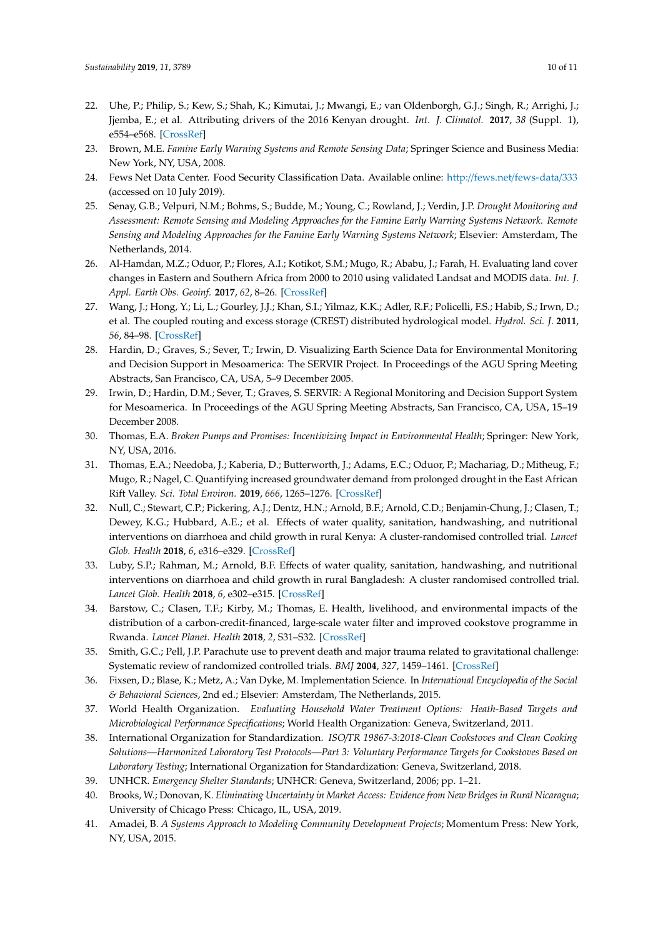- <span id="page-9-0"></span>22. Uhe, P.; Philip, S.; Kew, S.; Shah, K.; Kimutai, J.; Mwangi, E.; van Oldenborgh, G.J.; Singh, R.; Arrighi, J.; Jjemba, E.; et al. Attributing drivers of the 2016 Kenyan drought. *Int. J. Climatol.* **2017**, *38* (Suppl. 1), e554–e568. [\[CrossRef\]](http://dx.doi.org/10.1002/joc.5389)
- <span id="page-9-1"></span>23. Brown, M.E. *Famine Early Warning Systems and Remote Sensing Data*; Springer Science and Business Media: New York, NY, USA, 2008.
- 24. Fews Net Data Center. Food Security Classification Data. Available online: http://fews.net/[fews-data](http://fews.net/fews-data/333)/333 (accessed on 10 July 2019).
- <span id="page-9-2"></span>25. Senay, G.B.; Velpuri, N.M.; Bohms, S.; Budde, M.; Young, C.; Rowland, J.; Verdin, J.P. *Drought Monitoring and Assessment: Remote Sensing and Modeling Approaches for the Famine Early Warning Systems Network. Remote Sensing and Modeling Approaches for the Famine Early Warning Systems Network*; Elsevier: Amsterdam, The Netherlands, 2014.
- <span id="page-9-3"></span>26. Al-Hamdan, M.Z.; Oduor, P.; Flores, A.I.; Kotikot, S.M.; Mugo, R.; Ababu, J.; Farah, H. Evaluating land cover changes in Eastern and Southern Africa from 2000 to 2010 using validated Landsat and MODIS data. *Int. J. Appl. Earth Obs. Geoinf.* **2017**, *62*, 8–26. [\[CrossRef\]](http://dx.doi.org/10.1016/j.jag.2017.04.007)
- 27. Wang, J.; Hong, Y.; Li, L.; Gourley, J.J.; Khan, S.I.; Yilmaz, K.K.; Adler, R.F.; Policelli, F.S.; Habib, S.; Irwn, D.; et al. The coupled routing and excess storage (CREST) distributed hydrological model. *Hydrol. Sci. J.* **2011**, *56*, 84–98. [\[CrossRef\]](http://dx.doi.org/10.1080/02626667.2010.543087)
- 28. Hardin, D.; Graves, S.; Sever, T.; Irwin, D. Visualizing Earth Science Data for Environmental Monitoring and Decision Support in Mesoamerica: The SERVIR Project. In Proceedings of the AGU Spring Meeting Abstracts, San Francisco, CA, USA, 5–9 December 2005.
- <span id="page-9-4"></span>29. Irwin, D.; Hardin, D.M.; Sever, T.; Graves, S. SERVIR: A Regional Monitoring and Decision Support System for Mesoamerica. In Proceedings of the AGU Spring Meeting Abstracts, San Francisco, CA, USA, 15–19 December 2008.
- <span id="page-9-5"></span>30. Thomas, E.A. *Broken Pumps and Promises: Incentivizing Impact in Environmental Health*; Springer: New York, NY, USA, 2016.
- <span id="page-9-6"></span>31. Thomas, E.A.; Needoba, J.; Kaberia, D.; Butterworth, J.; Adams, E.C.; Oduor, P.; Machariag, D.; Mitheug, F.; Mugo, R.; Nagel, C. Quantifying increased groundwater demand from prolonged drought in the East African Rift Valley. *Sci. Total Environ.* **2019**, *666*, 1265–1276. [\[CrossRef\]](http://dx.doi.org/10.1016/j.scitotenv.2019.02.206)
- <span id="page-9-7"></span>32. Null, C.; Stewart, C.P.; Pickering, A.J.; Dentz, H.N.; Arnold, B.F.; Arnold, C.D.; Benjamin-Chung, J.; Clasen, T.; Dewey, K.G.; Hubbard, A.E.; et al. Effects of water quality, sanitation, handwashing, and nutritional interventions on diarrhoea and child growth in rural Kenya: A cluster-randomised controlled trial. *Lancet Glob. Health* **2018**, *6*, e316–e329. [\[CrossRef\]](http://dx.doi.org/10.1016/S2214-109X(18)30005-6)
- <span id="page-9-8"></span>33. Luby, S.P.; Rahman, M.; Arnold, B.F. Effects of water quality, sanitation, handwashing, and nutritional interventions on diarrhoea and child growth in rural Bangladesh: A cluster randomised controlled trial. *Lancet Glob. Health* **2018**, *6*, e302–e315. [\[CrossRef\]](http://dx.doi.org/10.1016/S2214-109X(17)30490-4)
- <span id="page-9-9"></span>34. Barstow, C.; Clasen, T.F.; Kirby, M.; Thomas, E. Health, livelihood, and environmental impacts of the distribution of a carbon-credit-financed, large-scale water filter and improved cookstove programme in Rwanda. *Lancet Planet. Health* **2018**, *2*, S31–S32. [\[CrossRef\]](http://dx.doi.org/10.1016/S2542-5196(18)30116-5)
- <span id="page-9-10"></span>35. Smith, G.C.; Pell, J.P. Parachute use to prevent death and major trauma related to gravitational challenge: Systematic review of randomized controlled trials. *BMJ* **2004**, *327*, 1459–1461. [\[CrossRef\]](http://dx.doi.org/10.1136/bmj.327.7429.1459)
- <span id="page-9-11"></span>36. Fixsen, D.; Blase, K.; Metz, A.; Van Dyke, M. Implementation Science. In *International Encyclopedia of the Social & Behavioral Sciences*, 2nd ed.; Elsevier: Amsterdam, The Netherlands, 2015.
- <span id="page-9-12"></span>37. World Health Organization. *Evaluating Household Water Treatment Options: Heath-Based Targets and Microbiological Performance Specifications*; World Health Organization: Geneva, Switzerland, 2011.
- <span id="page-9-13"></span>38. International Organization for Standardization. *ISO*/*TR 19867-3:2018-Clean Cookstoves and Clean Cooking Solutions—Harmonized Laboratory Test Protocols—Part 3: Voluntary Performance Targets for Cookstoves Based on Laboratory Testing*; International Organization for Standardization: Geneva, Switzerland, 2018.
- <span id="page-9-14"></span>39. UNHCR. *Emergency Shelter Standards*; UNHCR: Geneva, Switzerland, 2006; pp. 1–21.
- <span id="page-9-15"></span>40. Brooks, W.; Donovan, K. *Eliminating Uncertainty in Market Access: Evidence from New Bridges in Rural Nicaragua*; University of Chicago Press: Chicago, IL, USA, 2019.
- <span id="page-9-16"></span>41. Amadei, B. *A Systems Approach to Modeling Community Development Projects*; Momentum Press: New York, NY, USA, 2015.